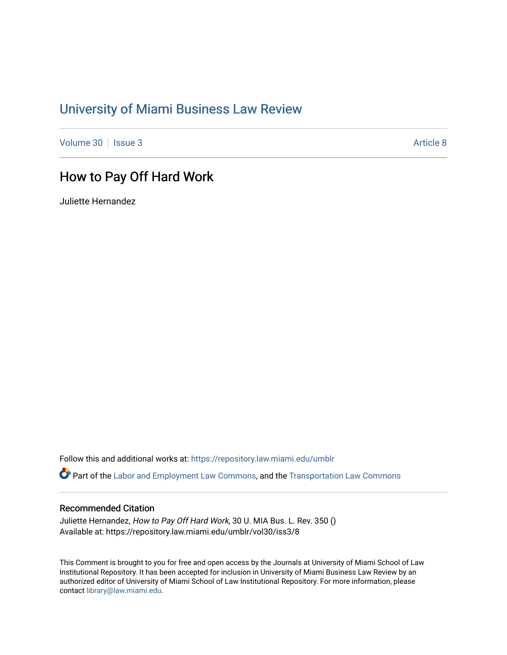# [University of Miami Business Law Review](https://repository.law.miami.edu/umblr)

[Volume 30](https://repository.law.miami.edu/umblr/vol30) | [Issue 3](https://repository.law.miami.edu/umblr/vol30/iss3) [Article 8](https://repository.law.miami.edu/umblr/vol30/iss3/8) Article 8 Article 8 Article 8 Article 8 Article 8 Article 8 Article 8 Article 8

# How to Pay Off Hard Work

Juliette Hernandez

Follow this and additional works at: [https://repository.law.miami.edu/umblr](https://repository.law.miami.edu/umblr?utm_source=repository.law.miami.edu%2Fumblr%2Fvol30%2Fiss3%2F8&utm_medium=PDF&utm_campaign=PDFCoverPages) 

Part of the [Labor and Employment Law Commons](https://network.bepress.com/hgg/discipline/909?utm_source=repository.law.miami.edu%2Fumblr%2Fvol30%2Fiss3%2F8&utm_medium=PDF&utm_campaign=PDFCoverPages), and the [Transportation Law Commons](https://network.bepress.com/hgg/discipline/885?utm_source=repository.law.miami.edu%2Fumblr%2Fvol30%2Fiss3%2F8&utm_medium=PDF&utm_campaign=PDFCoverPages)

## Recommended Citation

Juliette Hernandez, How to Pay Off Hard Work, 30 U. MIA Bus. L. Rev. 350 () Available at: https://repository.law.miami.edu/umblr/vol30/iss3/8

This Comment is brought to you for free and open access by the Journals at University of Miami School of Law Institutional Repository. It has been accepted for inclusion in University of Miami Business Law Review by an authorized editor of University of Miami School of Law Institutional Repository. For more information, please contact [library@law.miami.edu](mailto:library@law.miami.edu).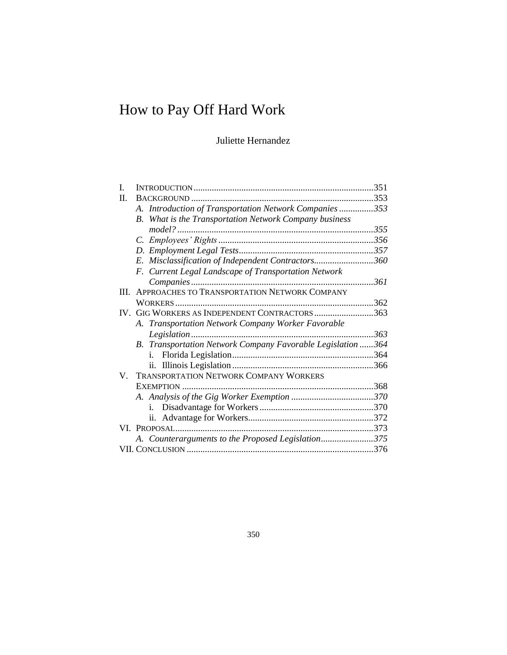# How to Pay Off Hard Work

# Juliette Hernandez

| 351                                                         |
|-------------------------------------------------------------|
|                                                             |
| A. Introduction of Transportation Network Companies353      |
|                                                             |
|                                                             |
|                                                             |
|                                                             |
| E. Misclassification of Independent Contractors360          |
|                                                             |
| 361                                                         |
|                                                             |
|                                                             |
| IV. GIG WORKERS AS INDEPENDENT CONTRACTORS363               |
|                                                             |
| 363                                                         |
| B. Transportation Network Company Favorable Legislation 364 |
|                                                             |
|                                                             |
|                                                             |
|                                                             |
|                                                             |
|                                                             |
|                                                             |
|                                                             |
| A. Counterarguments to the Proposed Legislation375          |
|                                                             |
|                                                             |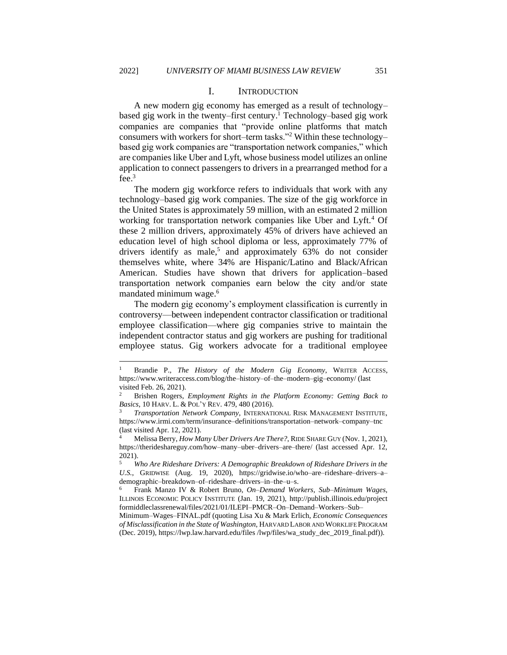#### I. INTRODUCTION

<span id="page-2-0"></span>A new modern gig economy has emerged as a result of technology– based gig work in the twenty–first century.<sup>1</sup> Technology–based gig work companies are companies that "provide online platforms that match consumers with workers for short–term tasks."<sup>2</sup> Within these technology– based gig work companies are "transportation network companies," which are companies like Uber and Lyft, whose business model utilizes an online application to connect passengers to drivers in a prearranged method for a fee.<sup>3</sup>

The modern gig workforce refers to individuals that work with any technology–based gig work companies. The size of the gig workforce in the United States is approximately 59 million, with an estimated 2 million working for transportation network companies like Uber and Lyft.<sup>4</sup> Of these 2 million drivers, approximately 45% of drivers have achieved an education level of high school diploma or less, approximately 77% of drivers identify as male,<sup>5</sup> and approximately  $63\%$  do not consider themselves white, where 34% are Hispanic/Latino and Black/African American. Studies have shown that drivers for application–based transportation network companies earn below the city and/or state mandated minimum wage.<sup>6</sup>

The modern gig economy's employment classification is currently in controversy—between independent contractor classification or traditional employee classification—where gig companies strive to maintain the independent contractor status and gig workers are pushing for traditional employee status. Gig workers advocate for a traditional employee

<sup>1</sup> Brandie P., *The History of the Modern Gig Economy*, WRITER ACCESS, https://www.writeraccess.com/blog/the–history–of–the–modern–gig–economy/ (last visited Feb. 26, 2021).

<sup>2</sup> Brishen Rogers, *Employment Rights in the Platform Economy: Getting Back to Basics*, 10 HARV. L. & POL'Y REV. 479, 480 (2016).

<sup>3</sup> *Transportation Network Company*, INTERNATIONAL RISK MANAGEMENT INSTITUTE, https://www.irmi.com/term/insurance–definitions/transportation–network–company–tnc (last visited Apr. 12, 2021).

<sup>4</sup> Melissa Berry, *How Many Uber Drivers Are There?*, RIDE SHARE GUY (Nov. 1, 2021), https://therideshareguy.com/how–many–uber–drivers–are–there/ (last accessed Apr. 12, 2021).

<sup>5</sup> *Who Are Rideshare Drivers: A Demographic Breakdown of Rideshare Drivers in the U.S.*, GRIDWISE (Aug. 19, 2020), https://gridwise.io/who–are–rideshare–drivers–a– demographic–breakdown–of–rideshare–drivers–in–the–u–s.

<sup>6</sup> Frank Manzo IV & Robert Bruno, *On–Demand Workers, Sub–Minimum Wages*, ILLINOIS ECONOMIC POLICY INSTITUTE (Jan. 19, 2021), http://publish.illinois.edu/project formiddleclassrenewal/files/2021/01/ILEPI–PMCR–On–Demand–Workers–Sub–

Minimum–Wages–FINAL.pdf (quoting Lisa Xu & Mark Erlich, *Economic Consequences of Misclassification in the State of Washington*, HARVARD LABOR AND WORKLIFE PROGRAM (Dec. 2019), https://lwp.law.harvard.edu/files /lwp/files/wa\_study\_dec\_2019\_final.pdf)).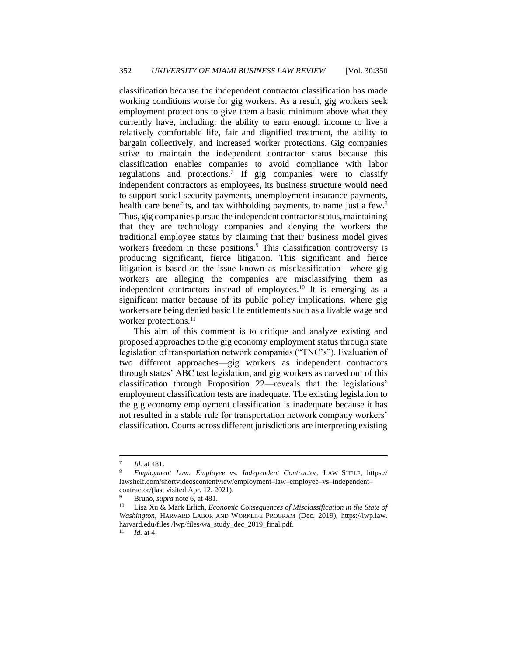classification because the independent contractor classification has made working conditions worse for gig workers. As a result, gig workers seek employment protections to give them a basic minimum above what they currently have, including: the ability to earn enough income to live a relatively comfortable life, fair and dignified treatment, the ability to bargain collectively, and increased worker protections. Gig companies strive to maintain the independent contractor status because this classification enables companies to avoid compliance with labor regulations and protections.<sup>7</sup> If gig companies were to classify independent contractors as employees, its business structure would need to support social security payments, unemployment insurance payments, health care benefits, and tax withholding payments, to name just a few.<sup>8</sup> Thus, gig companies pursue the independent contractor status, maintaining that they are technology companies and denying the workers the traditional employee status by claiming that their business model gives workers freedom in these positions.<sup>9</sup> This classification controversy is producing significant, fierce litigation. This significant and fierce litigation is based on the issue known as misclassification—where gig workers are alleging the companies are misclassifying them as independent contractors instead of employees.<sup>10</sup> It is emerging as a significant matter because of its public policy implications, where gig workers are being denied basic life entitlements such as a livable wage and worker protections.<sup>11</sup>

This aim of this comment is to critique and analyze existing and proposed approaches to the gig economy employment status through state legislation of transportation network companies ("TNC's"). Evaluation of two different approaches—gig workers as independent contractors through states' ABC test legislation, and gig workers as carved out of this classification through Proposition 22—reveals that the legislations' employment classification tests are inadequate. The existing legislation to the gig economy employment classification is inadequate because it has not resulted in a stable rule for transportation network company workers' classification. Courts across different jurisdictions are interpreting existing

<sup>7</sup> *Id.* at 481.

<sup>8</sup> *Employment Law: Employee vs. Independent Contractor*, LAW SHELF, https:// lawshelf.com/shortvideoscontentview/employment–law–employee–vs–independent– contractor/(last visited Apr. 12, 2021).

<sup>&</sup>lt;sup>9</sup> Bruno, *supra* note 6, at 481.<br><sup>10</sup> I is a X<sub>11</sub> & Mark Erlich *Ecc* 

Lisa Xu & Mark Erlich, *Economic Consequences of Misclassification in the State of Washington*, HARVARD LABOR AND WORKLIFE PROGRAM (Dec. 2019), https://lwp.law. harvard.edu/files /lwp/files/wa\_study\_dec\_2019\_final.pdf.

<sup>11</sup> *Id.* at 4.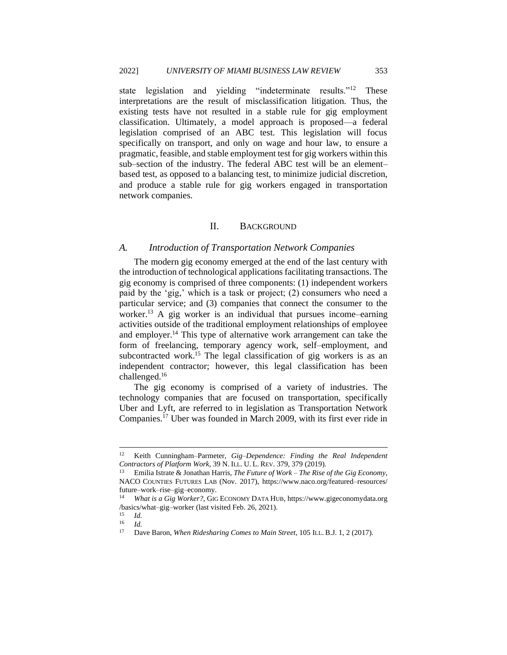state legislation and yielding "indeterminate results."<sup>12</sup> These interpretations are the result of misclassification litigation. Thus, the existing tests have not resulted in a stable rule for gig employment classification. Ultimately, a model approach is proposed—a federal legislation comprised of an ABC test. This legislation will focus specifically on transport, and only on wage and hour law, to ensure a pragmatic, feasible, and stable employment test for gig workers within this sub–section of the industry. The federal ABC test will be an element– based test, as opposed to a balancing test, to minimize judicial discretion, and produce a stable rule for gig workers engaged in transportation network companies.

#### II. BACKGROUND

#### <span id="page-4-1"></span><span id="page-4-0"></span>*A. Introduction of Transportation Network Companies*

The modern gig economy emerged at the end of the last century with the introduction of technological applications facilitating transactions. The gig economy is comprised of three components: (1) independent workers paid by the 'gig,' which is a task or project; (2) consumers who need a particular service; and (3) companies that connect the consumer to the worker.<sup>13</sup> A gig worker is an individual that pursues income–earning activities outside of the traditional employment relationships of employee and employer.<sup>14</sup> This type of alternative work arrangement can take the form of freelancing, temporary agency work, self–employment, and subcontracted work.<sup>15</sup> The legal classification of gig workers is as an independent contractor; however, this legal classification has been challenged.<sup>16</sup>

The gig economy is comprised of a variety of industries. The technology companies that are focused on transportation, specifically Uber and Lyft, are referred to in legislation as Transportation Network Companies.<sup>17</sup> Uber was founded in March 2009, with its first ever ride in

<sup>12</sup> Keith Cunningham–Parmeter, *Gig–Dependence: Finding the Real Independent Contractors of Platform Work*, 39 N. ILL. U. L. REV. 379, 379 (2019).

<sup>13</sup> Emilia Istrate & Jonathan Harris, *The Future of Work – The Rise of the Gig Economy*, NACO COUNTIES FUTURES LAB (Nov. 2017), https://www.naco.org/featured–resources/ future–work–rise–gig–economy.

<sup>14</sup> *What is a Gig Worker?*, GIG ECONOMY DATA HUB, https://www.gigeconomydata.org /basics/what–gig–worker (last visited Feb. 26, 2021).

 $\frac{15}{16}$  *Id.* 

 $\frac{16}{17}$  *Id.* 

<sup>17</sup> Dave Baron, *When Ridesharing Comes to Main Street*, 105 ILL. B.J. 1, 2 (2017).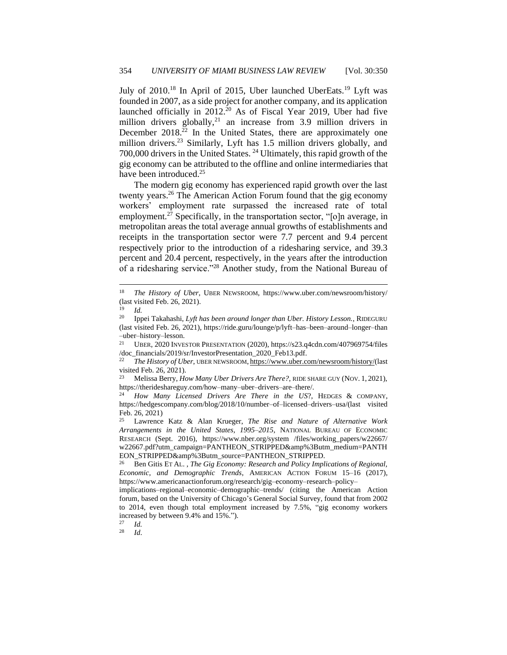July of 2010.<sup>18</sup> In April of 2015, Uber launched UberEats.<sup>19</sup> Lyft was founded in 2007, as a side project for another company, and its application launched officially in  $2012$ .<sup>20</sup> As of Fiscal Year 2019, Uber had five million drivers globally,<sup>21</sup> an increase from 3.9 million drivers in December  $2018<sup>22</sup>$  In the United States, there are approximately one million drivers.<sup>23</sup> Similarly, Lyft has 1.5 million drivers globally, and 700,000 drivers in the United States. <sup>24</sup> Ultimately, this rapid growth of the gig economy can be attributed to the offline and online intermediaries that have been introduced.<sup>25</sup>

The modern gig economy has experienced rapid growth over the last twenty years.<sup>26</sup> The American Action Forum found that the gig economy workers' employment rate surpassed the increased rate of total employment.<sup>27</sup> Specifically, in the transportation sector, "[o]n average, in metropolitan areas the total average annual growths of establishments and receipts in the transportation sector were 7.7 percent and 9.4 percent respectively prior to the introduction of a ridesharing service, and 39.3 percent and 20.4 percent, respectively, in the years after the introduction of a ridesharing service."<sup>28</sup> Another study, from the National Bureau of

*Id.* 

<sup>18</sup> *The History of Uber*, UBER NEWSROOM, https://www.uber.com/newsroom/history/ (last visited Feb. 26, 2021).

 $\frac{19}{20}$  *Id.* 

<sup>20</sup> Ippei Takahashi, *Lyft has been around longer than Uber. History Lesson.*, RIDEGURU (last visited Feb. 26, 2021), https://ride.guru/lounge/p/lyft–has–been–around–longer–than  $-\text{uber}-\text{history}-\text{lesson.}$ <br><sup>21</sup> **LEFR** 2020 **INVE** 

<sup>21</sup> UBER, 2020 INVESTOR PRESENTATION (2020), https://s23.q4cdn.com/407969754/files /doc\_financials/2019/sr/InvestorPresentation\_2020\_Feb13.pdf.

<sup>22</sup> *The History of Uber*, UBER NEWSROOM, [https://www.uber.com/newsroom/history/\(](https://www.uber.com/newsroom/history/)last visited Feb. 26, 2021).<br> $^{23}$  Melissa Berry He

<sup>23</sup> Melissa Berry, *How Many Uber Drivers Are There?,* RIDE SHARE GUY (NOV. 1, 2021), https://therideshareguy.com/how–many–uber–drivers–are–there/.

<sup>24</sup> *How Many Licensed Drivers Are There in the US*?, HEDGES & COMPANY, https://hedgescompany.com/blog/2018/10/number–of–licensed–drivers–usa/(last visited Feb. 26, 2021)

<sup>25</sup> Lawrence Katz & Alan Krueger, *The Rise and Nature of Alternative Work Arrangements in the United States, 1995–2015*, NATIONAL BUREAU OF ECONOMIC RESEARCH (Sept. 2016), https://www.nber.org/system /files/working\_papers/w22667/ w22667.pdf?utm\_campaign=PANTHEON\_STRIPPED&amp%3Butm\_medium=PANTH EON\_STRIPPED&amp%3Butm\_source=PANTHEON\_STRIPPED.<br><sup>26</sup> Pen Gitis Fr At The Gio Fconomy: Research and Policy Innl.

<sup>26</sup> Ben Gitis ET AL. , *The Gig Economy: Research and Policy Implications of Regional, Economic, and Demographic Trends*, AMERICAN ACTION FORUM 15–16 (2017), https://www.americanactionforum.org/research/gig–economy–research–policy–

implications–regional–economic–demographic–trends/ (citing the American Action forum, based on the University of Chicago's General Social Survey, found that from 2002 to 2014, even though total employment increased by 7.5%, "gig economy workers increased by between 9.4% and 15%.").

 $\frac{27}{28}$  *Id.*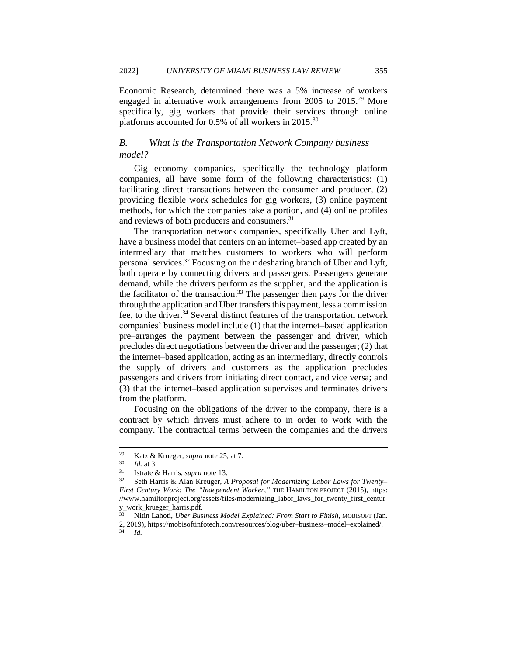Economic Research, determined there was a 5% increase of workers engaged in alternative work arrangements from 2005 to 2015.<sup>29</sup> More specifically, gig workers that provide their services through online platforms accounted for 0.5% of all workers in 2015.<sup>30</sup>

# <span id="page-6-0"></span>*B. What is the Transportation Network Company business model?*

Gig economy companies, specifically the technology platform companies, all have some form of the following characteristics: (1) facilitating direct transactions between the consumer and producer, (2) providing flexible work schedules for gig workers, (3) online payment methods, for which the companies take a portion, and (4) online profiles and reviews of both producers and consumers.<sup>31</sup>

The transportation network companies, specifically Uber and Lyft, have a business model that centers on an internet–based app created by an intermediary that matches customers to workers who will perform personal services.<sup>32</sup> Focusing on the ridesharing branch of Uber and Lyft, both operate by connecting drivers and passengers. Passengers generate demand, while the drivers perform as the supplier, and the application is the facilitator of the transaction.<sup>33</sup> The passenger then pays for the driver through the application and Uber transfers this payment, less a commission fee, to the driver.<sup>34</sup> Several distinct features of the transportation network companies' business model include (1) that the internet–based application pre–arranges the payment between the passenger and driver, which precludes direct negotiations between the driver and the passenger; (2) that the internet–based application, acting as an intermediary, directly controls the supply of drivers and customers as the application precludes passengers and drivers from initiating direct contact, and vice versa; and (3) that the internet–based application supervises and terminates drivers from the platform.

Focusing on the obligations of the driver to the company, there is a contract by which drivers must adhere to in order to work with the company. The contractual terms between the companies and the drivers

<sup>&</sup>lt;sup>29</sup> Katz & Krueger, *supra* note 25, at 7.<br> $^{30}$  *M* at 3

 $\frac{30}{31}$  *Id.* at 3.

<sup>31</sup> Istrate & Harris, *supra* note 13.

<sup>32</sup> Seth Harris & Alan Kreuger, *A Proposal for Modernizing Labor Laws for Twenty– First Century Work: The "Independent Worker,"* THE HAMILTON PROJECT (2015), https: //www.hamiltonproject.org/assets/files/modernizing\_labor\_laws\_for\_twenty\_first\_centur y\_work\_krueger\_harris.pdf.

<sup>33</sup> Nitin Lahoti, *Uber Business Model Explained: From Start to Finish*, MOBISOFT (Jan. 2, 2019), https://mobisoftinfotech.com/resources/blog/uber–business–model–explained/.

<sup>34</sup> *Id.*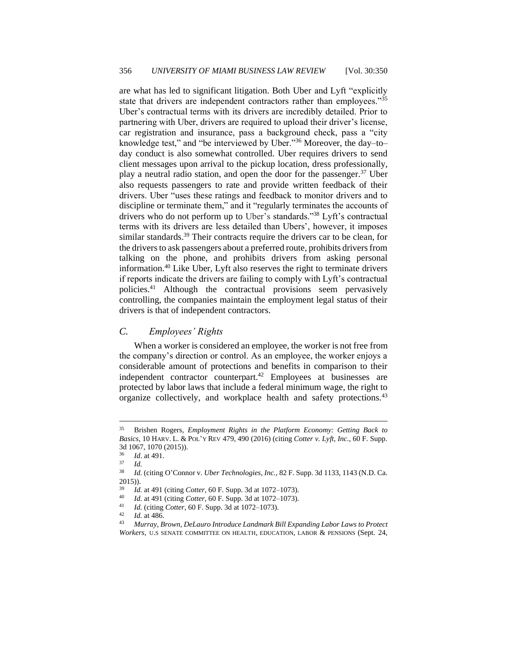are what has led to significant litigation. Both Uber and Lyft "explicitly state that drivers are independent contractors rather than employees."35 Uber's contractual terms with its drivers are incredibly detailed. Prior to partnering with Uber, drivers are required to upload their driver's license, car registration and insurance, pass a background check, pass a "city knowledge test," and "be interviewed by Uber."<sup>36</sup> Moreover, the day–to– day conduct is also somewhat controlled. Uber requires drivers to send client messages upon arrival to the pickup location, dress professionally, play a neutral radio station, and open the door for the passenger.<sup>37</sup> Uber also requests passengers to rate and provide written feedback of their drivers. Uber "uses these ratings and feedback to monitor drivers and to discipline or terminate them," and it "regularly terminates the accounts of drivers who do not perform up to Uber's standards."<sup>38</sup> Lyft's contractual terms with its drivers are less detailed than Ubers', however, it imposes similar standards.<sup>39</sup> Their contracts require the drivers car to be clean, for the drivers to ask passengers about a preferred route, prohibits drivers from talking on the phone, and prohibits drivers from asking personal information.<sup>40</sup> Like Uber, Lyft also reserves the right to terminate drivers if reports indicate the drivers are failing to comply with Lyft's contractual policies.<sup>41</sup> Although the contractual provisions seem pervasively controlling, the companies maintain the employment legal status of their drivers is that of independent contractors.

# <span id="page-7-0"></span>*C. Employees' Rights*

When a worker is considered an employee, the worker is not free from the company's direction or control. As an employee, the worker enjoys a considerable amount of protections and benefits in comparison to their independent contractor counterpart.<sup>42</sup> Employees at businesses are protected by labor laws that include a federal minimum wage, the right to organize collectively, and workplace health and safety protections.<sup>43</sup>

 $rac{37}{38}$  *Id.* 

<sup>35</sup> Brishen Rogers, *Employment Rights in the Platform Economy: Getting Back to Basics*, 10 HARV. L. & POL'Y REV 479, 490 (2016) (citing *Cotter v. Lyft, Inc.*, 60 F. Supp. 3d 1067, 1070 (2015)).<br>36 Id. at 401

<sup>36</sup> *Id*. at 491.

<sup>38</sup> *Id.* (citing O'Connor v. *Uber Technologies, Inc.*, 82 F. Supp. 3d 1133, 1143 (N.D. Ca. 2015)).

<sup>39</sup> *Id.* at 491 (citing *Cotter*, 60 F. Supp. 3d at 1072–1073).

<sup>40</sup> *Id.* at 491 (citing *Cotter*, 60 F. Supp. 3d at 1072–1073).

<sup>41</sup> *Id.* (citing *Cotter*, 60 F. Supp. 3d at 1072–1073).

 $\frac{42}{43}$  *Id.* at 486.

<sup>43</sup> *Murray, Brown, DeLauro Introduce Landmark Bill Expanding Labor Laws to Protect Workers*, U.S SENATE COMMITTEE ON HEALTH, EDUCATION, LABOR & PENSIONS (Sept. 24,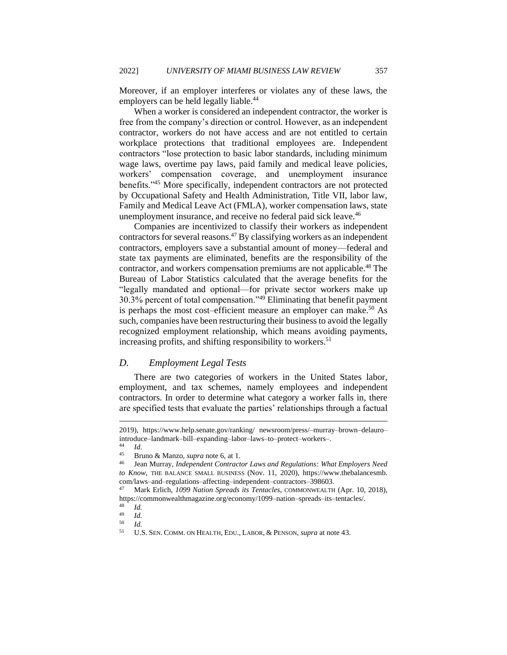Moreover, if an employer interferes or violates any of these laws, the employers can be held legally liable.<sup>44</sup>

When a worker is considered an independent contractor, the worker is free from the company's direction or control. However, as an independent contractor, workers do not have access and are not entitled to certain workplace protections that traditional employees are. Independent contractors "lose protection to basic labor standards, including minimum wage laws, overtime pay laws, paid family and medical leave policies, workers' compensation coverage, and unemployment insurance benefits."<sup>45</sup> More specifically, independent contractors are not protected by Occupational Safety and Health Administration, Title VII, labor law, Family and Medical Leave Act (FMLA), worker compensation laws, state unemployment insurance, and receive no federal paid sick leave.<sup>46</sup>

Companies are incentivized to classify their workers as independent contractors for several reasons.<sup>47</sup> By classifying workers as an independent contractors, employers save a substantial amount of money—federal and state tax payments are eliminated, benefits are the responsibility of the contractor, and workers compensation premiums are not applicable.<sup>48</sup> The Bureau of Labor Statistics calculated that the average benefits for the "legally mandated and optional—for private sector workers make up 30.3% percent of total compensation."<sup>49</sup> Eliminating that benefit payment is perhaps the most cost–efficient measure an employer can make.<sup>50</sup> As such, companies have been restructuring their business to avoid the legally recognized employment relationship, which means avoiding payments, increasing profits, and shifting responsibility to workers.<sup>51</sup>

#### <span id="page-8-0"></span>*D. Employment Legal Tests*

There are two categories of workers in the United States labor, employment, and tax schemes, namely employees and independent contractors. In order to determine what category a worker falls in, there are specified tests that evaluate the parties' relationships through a factual

<sup>2019),</sup> https://www.help.senate.gov/ranking/ newsroom/press/–murray–brown–delauro– introduce–landmark–bill–expanding–labor–laws–to–protect–workers–.

 $\frac{44}{45}$  *Id.* 

<sup>45</sup> Bruno & Manzo, *supra* note 6, at 1.

<sup>46</sup> Jean Murray, *Independent Contractor Laws and Regulations: What Employers Need to Know*, THE BALANCE SMALL BUSINESS (Nov. 11, 2020), https://www.thebalancesmb. com/laws–and–regulations–affecting–independent–contractors–398603.

<sup>47</sup> Mark Erlich, *1099 Nation Spreads its Tentacles*, COMMONWEALTH (Apr. 10, 2018), https://commonwealthmagazine.org/economy/1099–nation–spreads–its–tentacles/.

 $\frac{48}{49}$  *Id.* 

 $\frac{49}{50}$  *Id.* 

 $\frac{50}{51}$  *Id.* 

<sup>51</sup> U.S. SEN. COMM. ON HEALTH, EDU., LABOR, & PENSON, *supra* at note 43.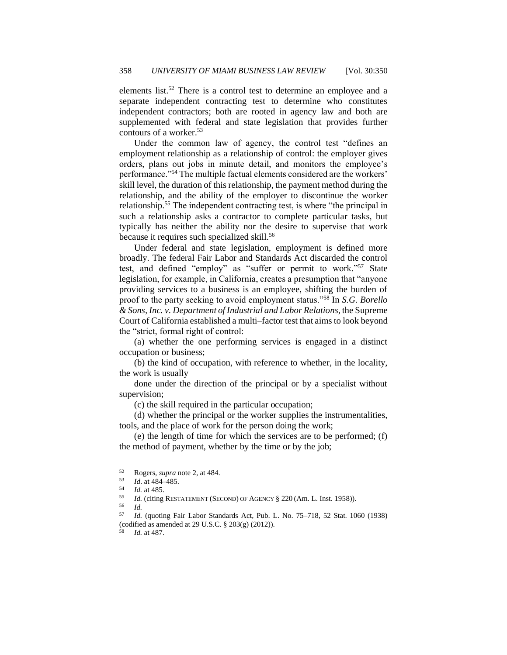elements list.<sup>52</sup> There is a control test to determine an employee and a separate independent contracting test to determine who constitutes independent contractors; both are rooted in agency law and both are supplemented with federal and state legislation that provides further contours of a worker.<sup>53</sup>

Under the common law of agency, the control test "defines an employment relationship as a relationship of control: the employer gives orders, plans out jobs in minute detail, and monitors the employee's performance."<sup>54</sup> The multiple factual elements considered are the workers' skill level, the duration of this relationship, the payment method during the relationship, and the ability of the employer to discontinue the worker relationship.<sup>55</sup> The independent contracting test, is where "the principal in such a relationship asks a contractor to complete particular tasks, but typically has neither the ability nor the desire to supervise that work because it requires such specialized skill.<sup>56</sup>

Under federal and state legislation, employment is defined more broadly. The federal Fair Labor and Standards Act discarded the control test, and defined "employ" as "suffer or permit to work."<sup>57</sup> State legislation, for example, in California, creates a presumption that "anyone providing services to a business is an employee, shifting the burden of proof to the party seeking to avoid employment status."<sup>58</sup> In *S.G. Borello & Sons, Inc. v. Department of Industrial and Labor Relations*, the Supreme Court of California established a multi–factor test that aims to look beyond the "strict, formal right of control:

(a) whether the one performing services is engaged in a distinct occupation or business;

(b) the kind of occupation, with reference to whether, in the locality, the work is usually

done under the direction of the principal or by a specialist without supervision;

(c) the skill required in the particular occupation;

(d) whether the principal or the worker supplies the instrumentalities, tools, and the place of work for the person doing the work;

(e) the length of time for which the services are to be performed; (f) the method of payment, whether by the time or by the job;

<sup>52</sup> Rogers, *supra* note 2, at 484.

 $\frac{53}{54}$  *Id.* at 484–485.

<sup>54</sup> *Id.* at 485.

<sup>&</sup>lt;sup>55</sup> *Id.* (citing RESTATEMENT (SECOND) OF AGENCY § 220 (Am. L. Inst. 1958)).

<sup>56</sup> *Id.*

<sup>57</sup> *Id.* (quoting Fair Labor Standards Act, Pub. L. No. 75–718, 52 Stat. 1060 (1938) (codified as amended at 29 U.S.C. § 203(g) (2012)).

*Id.* at 487.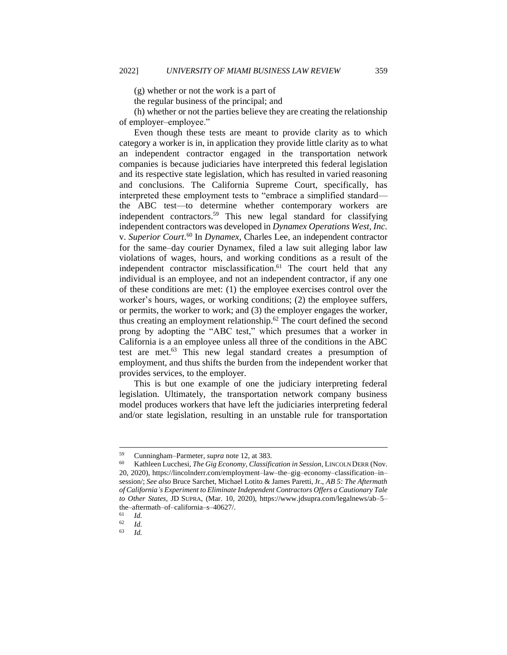(g) whether or not the work is a part of

the regular business of the principal; and

(h) whether or not the parties believe they are creating the relationship of employer–employee."

Even though these tests are meant to provide clarity as to which category a worker is in, in application they provide little clarity as to what an independent contractor engaged in the transportation network companies is because judiciaries have interpreted this federal legislation and its respective state legislation, which has resulted in varied reasoning and conclusions. The California Supreme Court, specifically, has interpreted these employment tests to "embrace a simplified standard the ABC test—to determine whether contemporary workers are independent contractors.<sup>59</sup> This new legal standard for classifying independent contractors was developed in *Dynamex Operations West, Inc.* v. *Superior Court*. <sup>60</sup> In *Dynamex,* Charles Lee, an independent contractor for the same–day courier Dynamex, filed a law suit alleging labor law violations of wages, hours, and working conditions as a result of the independent contractor misclassification. $61$  The court held that any individual is an employee, and not an independent contractor, if any one of these conditions are met: (1) the employee exercises control over the worker's hours, wages, or working conditions; (2) the employee suffers, or permits, the worker to work; and (3) the employer engages the worker, thus creating an employment relationship.<sup>62</sup> The court defined the second prong by adopting the "ABC test," which presumes that a worker in California is a an employee unless all three of the conditions in the ABC test are met.<sup>63</sup> This new legal standard creates a presumption of employment, and thus shifts the burden from the independent worker that provides services, to the employer.

This is but one example of one the judiciary interpreting federal legislation. Ultimately, the transportation network company business model produces workers that have left the judiciaries interpreting federal and/or state legislation, resulting in an unstable rule for transportation

<sup>59</sup> Cunningham–Parmeter, *supra* note 12, at 383.

Kathleen Lucchesi, *The Gig Economy, Classification in Session*, LINCOLN DERR (Nov. 20, 2020), https://lincolnderr.com/employment–law–the–gig–economy–classification–in– session/; *See also* Bruce Sarchet, Michael Lotito & James Paretti, Jr., *AB 5: The Aftermath of California's Experiment to Eliminate Independent Contractors Offers a Cautionary Tale to Other States,* JD SUPRA, (Mar. 10, 2020), https://www.jdsupra.com/legalnews/ab–5– the–aftermath–of–california–s–40627/.

 $\frac{61}{62}$  *Id.* 

 $\frac{62}{63}$  *Id.* 

<sup>63</sup> *Id.*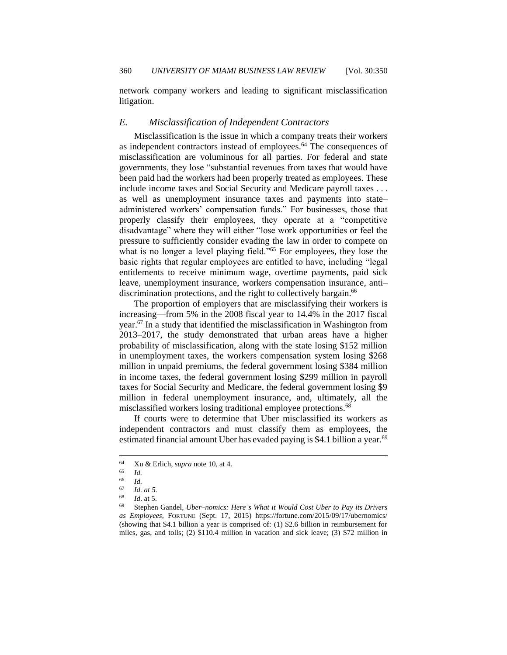network company workers and leading to significant misclassification litigation.

#### <span id="page-11-0"></span>*E. Misclassification of Independent Contractors*

Misclassification is the issue in which a company treats their workers as independent contractors instead of employees.<sup>64</sup> The consequences of misclassification are voluminous for all parties. For federal and state governments, they lose "substantial revenues from taxes that would have been paid had the workers had been properly treated as employees. These include income taxes and Social Security and Medicare payroll taxes . . . as well as unemployment insurance taxes and payments into state– administered workers' compensation funds." For businesses, those that properly classify their employees, they operate at a "competitive disadvantage" where they will either "lose work opportunities or feel the pressure to sufficiently consider evading the law in order to compete on what is no longer a level playing field."<sup>65</sup> For employees, they lose the basic rights that regular employees are entitled to have, including "legal entitlements to receive minimum wage, overtime payments, paid sick leave, unemployment insurance, workers compensation insurance, anti– discrimination protections, and the right to collectively bargain.<sup>66</sup>

The proportion of employers that are misclassifying their workers is increasing—from 5% in the 2008 fiscal year to 14.4% in the 2017 fiscal year.<sup>67</sup> In a study that identified the misclassification in Washington from 2013–2017, the study demonstrated that urban areas have a higher probability of misclassification, along with the state losing \$152 million in unemployment taxes, the workers compensation system losing \$268 million in unpaid premiums, the federal government losing \$384 million in income taxes, the federal government losing \$299 million in payroll taxes for Social Security and Medicare, the federal government losing \$9 million in federal unemployment insurance, and, ultimately, all the misclassified workers losing traditional employee protections.<sup>68</sup>

If courts were to determine that Uber misclassified its workers as independent contractors and must classify them as employees, the estimated financial amount Uber has evaded paying is \$4.1 billion a year.<sup>69</sup>

<sup>&</sup>lt;sup>64</sup> Xu & Erlich, *supra* note 10, at 4.

 $\begin{array}{cc} 65 & Id. \\ 66 & Id. \end{array}$ 

 $\frac{66}{67}$  *Id.* 

 $\begin{array}{cc} 67 & \text{Id. at } 5. \\ 68 & \text{Id. at } 5. \end{array}$ 

*Id.* at 5.

<sup>69</sup> Stephen Gandel, *Uber–nomics: Here's What it Would Cost Uber to Pay its Drivers as Employees*, FORTUNE (Sept. 17, 2015) https://fortune.com/2015/09/17/ubernomics/ (showing that \$4.1 billion a year is comprised of: (1) \$2.6 billion in reimbursement for miles, gas, and tolls; (2) \$110.4 million in vacation and sick leave; (3) \$72 million in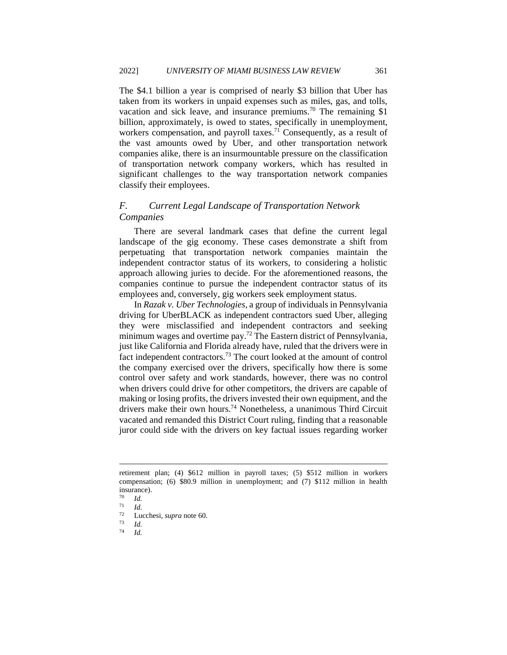The \$4.1 billion a year is comprised of nearly \$3 billion that Uber has taken from its workers in unpaid expenses such as miles, gas, and tolls, vacation and sick leave, and insurance premiums.<sup>70</sup> The remaining \$1 billion, approximately, is owed to states, specifically in unemployment, workers compensation, and payroll taxes.<sup>71</sup> Consequently, as a result of the vast amounts owed by Uber, and other transportation network companies alike, there is an insurmountable pressure on the classification of transportation network company workers, which has resulted in significant challenges to the way transportation network companies classify their employees.

# <span id="page-12-0"></span>*F. Current Legal Landscape of Transportation Network Companies*

There are several landmark cases that define the current legal landscape of the gig economy. These cases demonstrate a shift from perpetuating that transportation network companies maintain the independent contractor status of its workers, to considering a holistic approach allowing juries to decide. For the aforementioned reasons, the companies continue to pursue the independent contractor status of its employees and, conversely, gig workers seek employment status.

In *Razak v. Uber Technologies*, a group of individuals in Pennsylvania driving for UberBLACK as independent contractors sued Uber, alleging they were misclassified and independent contractors and seeking minimum wages and overtime pay.<sup>72</sup> The Eastern district of Pennsylvania, just like California and Florida already have, ruled that the drivers were in fact independent contractors*.* <sup>73</sup> The court looked at the amount of control the company exercised over the drivers, specifically how there is some control over safety and work standards, however, there was no control when drivers could drive for other competitors, the drivers are capable of making or losing profits, the drivers invested their own equipment, and the drivers make their own hours.<sup>74</sup> Nonetheless, a unanimous Third Circuit vacated and remanded this District Court ruling, finding that a reasonable juror could side with the drivers on key factual issues regarding worker

retirement plan; (4) \$612 million in payroll taxes; (5) \$512 million in workers compensation; (6) \$80.9 million in unemployment; and (7) \$112 million in health insurance).

 $\frac{70}{71}$  *Id.* 

<sup>71</sup> *Id.*

<sup>72</sup> Lucchesi, *supra* note 60.

 $\frac{73}{74}$  *Id.* 

<sup>74</sup> *Id.*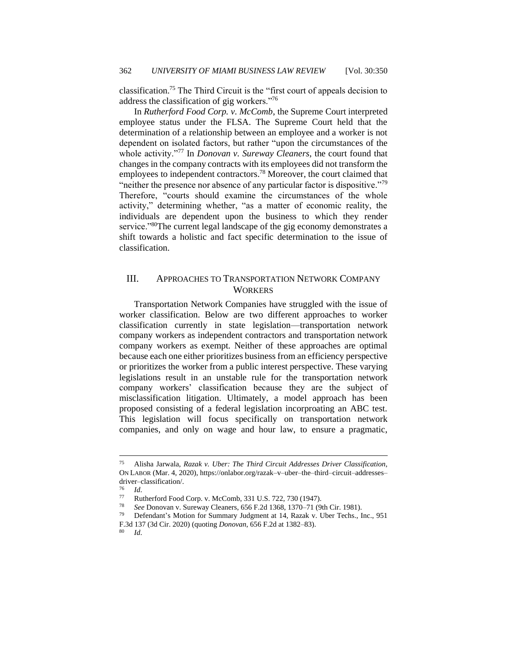classification.<sup>75</sup> The Third Circuit is the "first court of appeals decision to address the classification of gig workers."<sup>76</sup>

In *Rutherford Food Corp. v. McComb*, the Supreme Court interpreted employee status under the FLSA. The Supreme Court held that the determination of a relationship between an employee and a worker is not dependent on isolated factors, but rather "upon the circumstances of the whole activity."<sup>77</sup> In *Donovan v. Sureway Cleaners*, the court found that changes in the company contracts with its employees did not transform the employees to independent contractors.<sup>78</sup> Moreover, the court claimed that "neither the presence nor absence of any particular factor is dispositive."<sup>79</sup> Therefore, "courts should examine the circumstances of the whole activity," determining whether, "as a matter of economic reality, the individuals are dependent upon the business to which they render service."<sup>80</sup>The current legal landscape of the gig economy demonstrates a shift towards a holistic and fact specific determination to the issue of classification.

# <span id="page-13-0"></span>III. APPROACHES TO TRANSPORTATION NETWORK COMPANY **WORKERS**

Transportation Network Companies have struggled with the issue of worker classification. Below are two different approaches to worker classification currently in state legislation—transportation network company workers as independent contractors and transportation network company workers as exempt. Neither of these approaches are optimal because each one either prioritizes business from an efficiency perspective or prioritizes the worker from a public interest perspective. These varying legislations result in an unstable rule for the transportation network company workers' classification because they are the subject of misclassification litigation. Ultimately, a model approach has been proposed consisting of a federal legislation incorproating an ABC test. This legislation will focus specifically on transportation network companies, and only on wage and hour law, to ensure a pragmatic,

<sup>75</sup> Alisha Jarwala, *Razak v. Uber: The Third Circuit Addresses Driver Classification*, ON LABOR (Mar. 4, 2020), https://onlabor.org/razak–v–uber–the–third–circuit–addresses– driver–classification/.

 $\frac{76}{77}$  *Id.* 

<sup>77</sup> Rutherford Food Corp. v. McComb, 331 U.S. 722, 730 (1947).<br> $\frac{78}{100}$  See Donovan v. Suraway Cleaners, 656 E 2d 1368, 1370, 71 (0)

<sup>78</sup> *See* Donovan v. Sureway Cleaners, 656 F.2d 1368, 1370–71 (9th Cir. 1981).

<sup>79</sup> Defendant's Motion for Summary Judgment at 14, Razak v. Uber Techs., Inc., 951 F.3d 137 (3d Cir. 2020) (quoting *Donovan*, 656 F.2d at 1382–83).

<sup>80</sup> *Id*.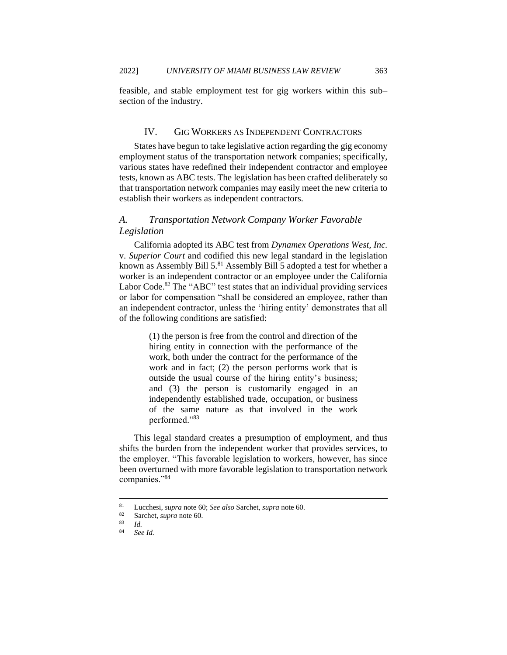<span id="page-14-0"></span>feasible, and stable employment test for gig workers within this sub– section of the industry.

### IV. GIG WORKERS AS INDEPENDENT CONTRACTORS

States have begun to take legislative action regarding the gig economy employment status of the transportation network companies; specifically, various states have redefined their independent contractor and employee tests, known as ABC tests. The legislation has been crafted deliberately so that transportation network companies may easily meet the new criteria to establish their workers as independent contractors.

# <span id="page-14-1"></span>*A. Transportation Network Company Worker Favorable Legislation*

California adopted its ABC test from *Dynamex Operations West, Inc.* v. *Superior Court* and codified this new legal standard in the legislation known as Assembly Bill 5.<sup>81</sup> Assembly Bill 5 adopted a test for whether a worker is an independent contractor or an employee under the California Labor Code.<sup>82</sup> The "ABC" test states that an individual providing services or labor for compensation "shall be considered an employee, rather than an independent contractor, unless the 'hiring entity' demonstrates that all of the following conditions are satisfied:

> (1) the person is free from the control and direction of the hiring entity in connection with the performance of the work, both under the contract for the performance of the work and in fact; (2) the person performs work that is outside the usual course of the hiring entity's business; and (3) the person is customarily engaged in an independently established trade, occupation, or business of the same nature as that involved in the work performed."<sup>83</sup>

This legal standard creates a presumption of employment, and thus shifts the burden from the independent worker that provides services, to the employer. "This favorable legislation to workers, however, has since been overturned with more favorable legislation to transportation network companies."<sup>84</sup>

<sup>81</sup> Lucchesi, *supra* note 60; *See also* Sarchet, *supra* note 60.

<sup>82</sup> Sarchet, *supra* note 60.

 $rac{83}{84}$  *Id.* 

See Id.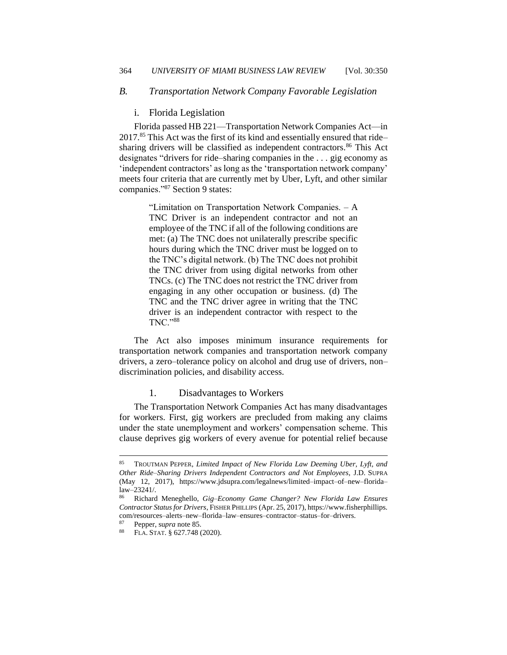## <span id="page-15-1"></span><span id="page-15-0"></span>*B. Transportation Network Company Favorable Legislation*

#### i. Florida Legislation

Florida passed HB 221—Transportation Network Companies Act—in 2017.<sup>85</sup> This Act was the first of its kind and essentially ensured that ride– sharing drivers will be classified as independent contractors.<sup>86</sup> This Act designates "drivers for ride–sharing companies in the . . . gig economy as 'independent contractors' as long as the 'transportation network company' meets four criteria that are currently met by Uber, Lyft, and other similar companies."<sup>87</sup> Section 9 states:

> "Limitation on Transportation Network Companies. – A TNC Driver is an independent contractor and not an employee of the TNC if all of the following conditions are met: (a) The TNC does not unilaterally prescribe specific hours during which the TNC driver must be logged on to the TNC's digital network. (b) The TNC does not prohibit the TNC driver from using digital networks from other TNCs. (c) The TNC does not restrict the TNC driver from engaging in any other occupation or business. (d) The TNC and the TNC driver agree in writing that the TNC driver is an independent contractor with respect to the TNC."<sup>88</sup>

The Act also imposes minimum insurance requirements for transportation network companies and transportation network company drivers, a zero–tolerance policy on alcohol and drug use of drivers, non– discrimination policies, and disability access.

# 1. Disadvantages to Workers

The Transportation Network Companies Act has many disadvantages for workers. First, gig workers are precluded from making any claims under the state unemployment and workers' compensation scheme. This clause deprives gig workers of every avenue for potential relief because

<sup>85</sup> TROUTMAN PEPPER, *Limited Impact of New Florida Law Deeming Uber, Lyft, and Other Ride–Sharing Drivers Independent Contractors and Not Employees*, J.D. SUPRA (May 12, 2017), https://www.jdsupra.com/legalnews/limited–impact–of–new–florida– law–23241/.

<sup>86</sup> Richard Meneghello, *Gig–Economy Game Changer? New Florida Law Ensures Contractor Status for Drivers*, FISHER PHILLIPS (Apr. 25, 2017), https://www.fisherphillips. com/resources–alerts–new–florida–law–ensures–contractor–status–for–drivers.

<sup>87</sup> Pepper, su*pra* note 85.

<sup>88</sup> FLA. STAT. § 627.748 (2020).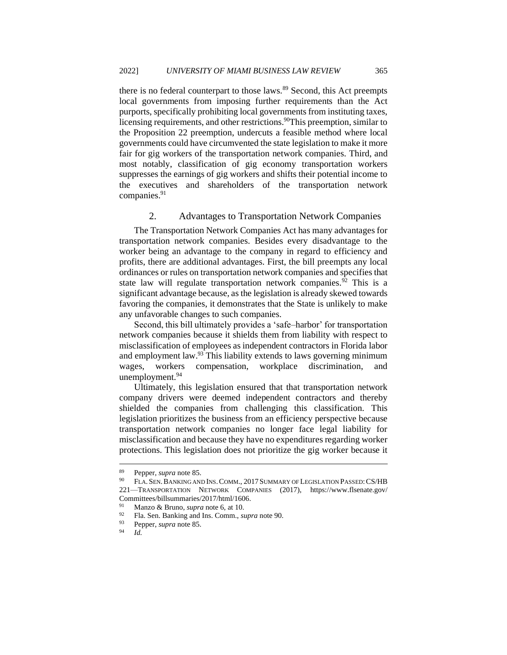there is no federal counterpart to those laws.<sup>89</sup> Second, this Act preempts local governments from imposing further requirements than the Act purports, specifically prohibiting local governments from instituting taxes, licensing requirements, and other restrictions.<sup>90</sup>This preemption, similar to the Proposition 22 preemption, undercuts a feasible method where local governments could have circumvented the state legislation to make it more fair for gig workers of the transportation network companies. Third, and most notably, classification of gig economy transportation workers suppresses the earnings of gig workers and shifts their potential income to the executives and shareholders of the transportation network companies.<sup>91</sup>

#### 2. Advantages to Transportation Network Companies

The Transportation Network Companies Act has many advantages for transportation network companies. Besides every disadvantage to the worker being an advantage to the company in regard to efficiency and profits, there are additional advantages. First, the bill preempts any local ordinances or rules on transportation network companies and specifies that state law will regulate transportation network companies.<sup>92</sup> This is a significant advantage because, as the legislation is already skewed towards favoring the companies, it demonstrates that the State is unlikely to make any unfavorable changes to such companies.

Second, this bill ultimately provides a 'safe–harbor' for transportation network companies because it shields them from liability with respect to misclassification of employees as independent contractors in Florida labor and employment law.<sup>93</sup> This liability extends to laws governing minimum wages, workers compensation, workplace discrimination, unemployment.<sup>94</sup>

Ultimately, this legislation ensured that that transportation network company drivers were deemed independent contractors and thereby shielded the companies from challenging this classification. This legislation prioritizes the business from an efficiency perspective because transportation network companies no longer face legal liability for misclassification and because they have no expenditures regarding worker protections. This legislation does not prioritize the gig worker because it

Pepper, *supra* note 85.

<sup>&</sup>lt;sup>90</sup> FLA. SEN. BANKING AND INS. COMM., 2017 SUMMARY OF LEGISLATION PASSED: CS/HB 221—TRANSPORTATION NETWORK COMPANIES (2017), https://www.flsenate.gov/ Committees/billsummaries/2017/html/1606.

Manzo & Bruno, *supra* note 6, at 10.

<sup>92</sup> Fla. Sen. Banking and Ins. Comm., *supra* note 90.

<sup>93</sup> Pepper, *supra* note 85.

<sup>94</sup> *Id.*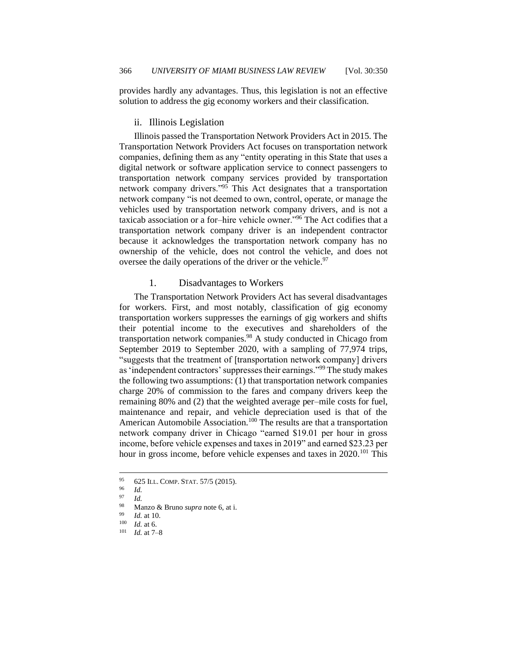<span id="page-17-0"></span>provides hardly any advantages. Thus, this legislation is not an effective solution to address the gig economy workers and their classification.

#### ii. Illinois Legislation

Illinois passed the Transportation Network Providers Act in 2015. The Transportation Network Providers Act focuses on transportation network companies, defining them as any "entity operating in this State that uses a digital network or software application service to connect passengers to transportation network company services provided by transportation network company drivers."<sup>95</sup> This Act designates that a transportation network company "is not deemed to own, control, operate, or manage the vehicles used by transportation network company drivers, and is not a taxicab association or a for–hire vehicle owner."<sup>96</sup> The Act codifies that a transportation network company driver is an independent contractor because it acknowledges the transportation network company has no ownership of the vehicle, does not control the vehicle, and does not oversee the daily operations of the driver or the vehicle.<sup>97</sup>

#### 1. Disadvantages to Workers

The Transportation Network Providers Act has several disadvantages for workers. First, and most notably, classification of gig economy transportation workers suppresses the earnings of gig workers and shifts their potential income to the executives and shareholders of the transportation network companies.<sup>98</sup> A study conducted in Chicago from September 2019 to September 2020, with a sampling of 77,974 trips, "suggests that the treatment of [transportation network company] drivers as 'independent contractors' suppresses their earnings."<sup>99</sup> The study makes the following two assumptions: (1) that transportation network companies charge 20% of commission to the fares and company drivers keep the remaining 80% and (2) that the weighted average per–mile costs for fuel, maintenance and repair, and vehicle depreciation used is that of the American Automobile Association.<sup>100</sup> The results are that a transportation network company driver in Chicago "earned \$19.01 per hour in gross income, before vehicle expenses and taxes in 2019" and earned \$23.23 per hour in gross income, before vehicle expenses and taxes in 2020.<sup>101</sup> This

 $^{95}$  625 ILL. COMP. STAT. 57/5 (2015).

 $\frac{96}{97}$  *Id.* 

 $\frac{97}{98}$  *Id.* 

Manzo & Bruno *supra* note 6, at i.

 $\frac{99}{100}$  *Id.* at 10.

 $\frac{100}{101}$  *Id.* at 6.

*Id.* at 7-8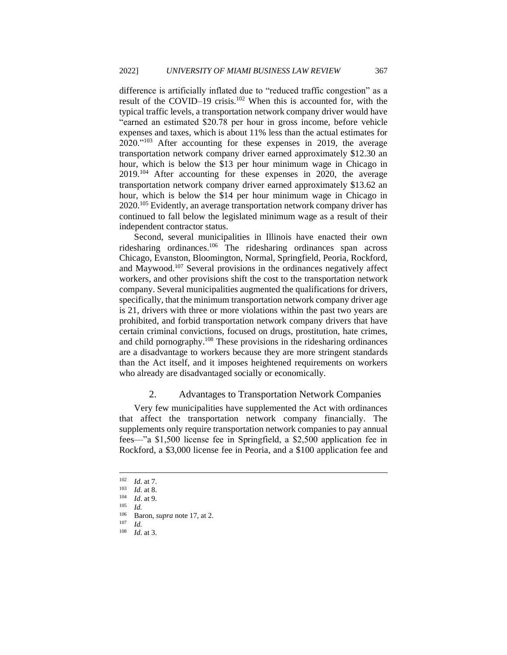difference is artificially inflated due to "reduced traffic congestion" as a result of the COVID–19 crisis.<sup>102</sup> When this is accounted for, with the typical traffic levels, a transportation network company driver would have "earned an estimated \$20.78 per hour in gross income, before vehicle expenses and taxes, which is about 11% less than the actual estimates for 2020."<sup>103</sup> After accounting for these expenses in 2019, the average transportation network company driver earned approximately \$12.30 an hour, which is below the \$13 per hour minimum wage in Chicago in 2019.<sup>104</sup> After accounting for these expenses in 2020, the average transportation network company driver earned approximately \$13.62 an hour, which is below the \$14 per hour minimum wage in Chicago in 2020.<sup>105</sup> Evidently, an average transportation network company driver has continued to fall below the legislated minimum wage as a result of their independent contractor status.

Second, several municipalities in Illinois have enacted their own ridesharing ordinances.<sup>106</sup> The ridesharing ordinances span across Chicago, Evanston, Bloomington, Normal, Springfield, Peoria, Rockford, and Maywood.<sup>107</sup> Several provisions in the ordinances negatively affect workers, and other provisions shift the cost to the transportation network company. Several municipalities augmented the qualifications for drivers, specifically, that the minimum transportation network company driver age is 21, drivers with three or more violations within the past two years are prohibited, and forbid transportation network company drivers that have certain criminal convictions, focused on drugs, prostitution, hate crimes, and child pornography.<sup>108</sup> These provisions in the ridesharing ordinances are a disadvantage to workers because they are more stringent standards than the Act itself, and it imposes heightened requirements on workers who already are disadvantaged socially or economically.

#### 2. Advantages to Transportation Network Companies

Very few municipalities have supplemented the Act with ordinances that affect the transportation network company financially. The supplements only require transportation network companies to pay annual fees—"a \$1,500 license fee in Springfield, a \$2,500 application fee in Rockford, a \$3,000 license fee in Peoria, and a \$100 application fee and

 $\frac{102}{103}$  *Id.* at 7.

 $\frac{103}{104}$  *Id.* at 8.

 $\frac{104}{105}$  *Id.* at 9.

*Id.* 

<sup>106</sup> Baron, *supra* note 17, at 2.

 $\frac{107}{108}$  *Id.* 

*Id.* at 3.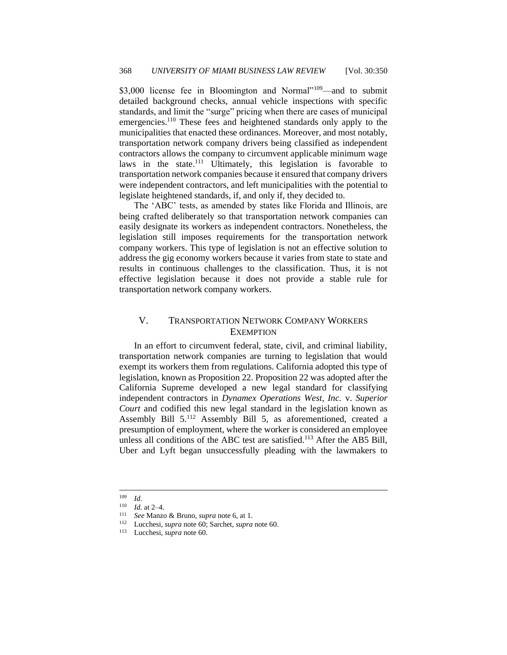\$3,000 license fee in Bloomington and Normal"<sup>109</sup>—and to submit detailed background checks, annual vehicle inspections with specific standards, and limit the "surge" pricing when there are cases of municipal emergencies.<sup>110</sup> These fees and heightened standards only apply to the municipalities that enacted these ordinances. Moreover, and most notably, transportation network company drivers being classified as independent contractors allows the company to circumvent applicable minimum wage laws in the state.<sup>111</sup> Ultimately, this legislation is favorable to transportation network companies because it ensured that company drivers were independent contractors, and left municipalities with the potential to legislate heightened standards, if, and only if, they decided to.

The 'ABC' tests, as amended by states like Florida and Illinois, are being crafted deliberately so that transportation network companies can easily designate its workers as independent contractors. Nonetheless, the legislation still imposes requirements for the transportation network company workers. This type of legislation is not an effective solution to address the gig economy workers because it varies from state to state and results in continuous challenges to the classification. Thus, it is not effective legislation because it does not provide a stable rule for transportation network company workers.

# <span id="page-19-0"></span>V. TRANSPORTATION NETWORK COMPANY WORKERS **EXEMPTION**

In an effort to circumvent federal, state, civil, and criminal liability, transportation network companies are turning to legislation that would exempt its workers them from regulations. California adopted this type of legislation, known as Proposition 22. Proposition 22 was adopted after the California Supreme developed a new legal standard for classifying independent contractors in *Dynamex Operations West, Inc.* v. *Superior Court* and codified this new legal standard in the legislation known as Assembly Bill 5.<sup>112</sup> Assembly Bill 5, as aforementioned, created a presumption of employment, where the worker is considered an employee unless all conditions of the ABC test are satisfied.<sup>113</sup> After the AB5 Bill, Uber and Lyft began unsuccessfully pleading with the lawmakers to

 $\frac{109}{110}$  *Id.* 

*Id.* at 2–4.

<sup>111</sup> *See* Manzo & Bruno, *supra* note 6, at 1.

<sup>112</sup> Lucchesi, *supra* note 60; Sarchet, *supra* note 60.

<sup>113</sup> Lucchesi, *supra* note 60.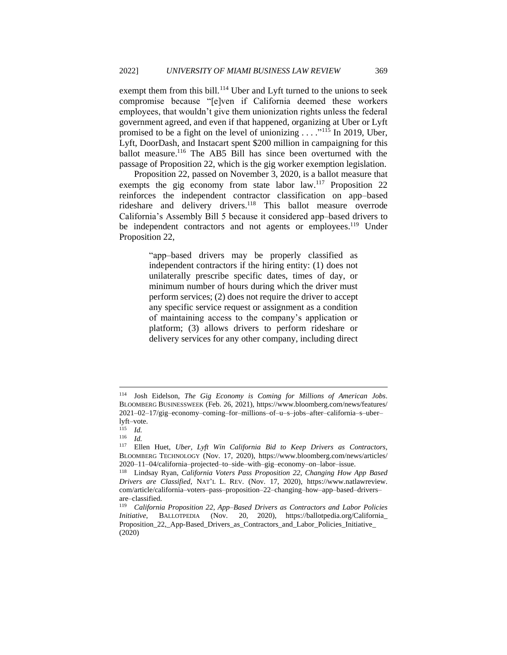exempt them from this bill.<sup>114</sup> Uber and Lyft turned to the unions to seek compromise because "[e]ven if California deemed these workers employees, that wouldn't give them unionization rights unless the federal government agreed, and even if that happened, organizing at Uber or Lyft promised to be a fight on the level of unionizing . . . ."<sup>115</sup> In 2019, Uber, Lyft, DoorDash, and Instacart spent \$200 million in campaigning for this ballot measure.<sup>116</sup> The AB5 Bill has since been overturned with the passage of Proposition 22, which is the gig worker exemption legislation.

Proposition 22, passed on November 3, 2020, is a ballot measure that exempts the gig economy from state labor law.<sup>117</sup> Proposition 22 reinforces the independent contractor classification on app–based rideshare and delivery drivers.<sup>118</sup> This ballot measure overrode California's Assembly Bill 5 because it considered app–based drivers to be independent contractors and not agents or employees.<sup>119</sup> Under Proposition 22,

> "app–based drivers may be properly classified as independent contractors if the hiring entity: (1) does not unilaterally prescribe specific dates, times of day, or minimum number of hours during which the driver must perform services; (2) does not require the driver to accept any specific service request or assignment as a condition of maintaining access to the company's application or platform; (3) allows drivers to perform rideshare or delivery services for any other company, including direct

<sup>114</sup> Josh Eidelson, *The Gig Economy is Coming for Millions of American Jobs*. BLOOMBERG BUSINESSWEEK (Feb. 26, 2021), https://www.bloomberg.com/news/features/ 2021–02–17/gig–economy–coming–for–millions–of–u–s–jobs–after–california–s–uber– lyft–vote.

 $\frac{115}{116}$  *Id.* 

 $\frac{116}{117}$  *Id.* 

<sup>117</sup> Ellen Huet, *Uber, Lyft Win California Bid to Keep Drivers as Contractors,*  BLOOMBERG TECHNOLOGY (Nov. 17, 2020), https://www.bloomberg.com/news/articles/ 2020–11–04/california–projected–to–side–with–gig–economy–on–labor–issue.

<sup>118</sup> Lindsay Ryan, *California Voters Pass Proposition 22, Changing How App Based Drivers are Classified*, NAT'L L. REV. (Nov. 17, 2020), https://www.natlawreview. com/article/california–voters–pass–proposition–22–changing–how–app–based–drivers– are–classified.

<sup>119</sup> *California Proposition 22, App–Based Drivers as Contractors and Labor Policies Initiative*, BALLOTPEDIA (Nov. 20, 2020), https://ballotpedia.org/California\_ Proposition 22, App-Based Drivers as Contractors and Labor Policies Initiative (2020)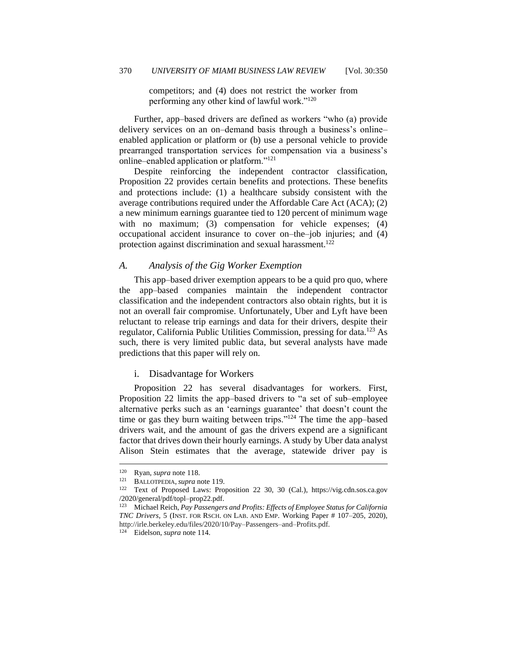competitors; and (4) does not restrict the worker from performing any other kind of lawful work."<sup>120</sup>

Further, app–based drivers are defined as workers "who (a) provide delivery services on an on–demand basis through a business's online– enabled application or platform or (b) use a personal vehicle to provide prearranged transportation services for compensation via a business's online–enabled application or platform."<sup>121</sup>

Despite reinforcing the independent contractor classification, Proposition 22 provides certain benefits and protections. These benefits and protections include: (1) a healthcare subsidy consistent with the average contributions required under the Affordable Care Act (ACA); (2) a new minimum earnings guarantee tied to 120 percent of minimum wage with no maximum; (3) compensation for vehicle expenses; (4) occupational accident insurance to cover on–the–job injuries; and (4) protection against discrimination and sexual harassment.<sup>122</sup>

#### <span id="page-21-0"></span>*A. Analysis of the Gig Worker Exemption*

This app–based driver exemption appears to be a quid pro quo, where the app–based companies maintain the independent contractor classification and the independent contractors also obtain rights, but it is not an overall fair compromise. Unfortunately, Uber and Lyft have been reluctant to release trip earnings and data for their drivers, despite their regulator, California Public Utilities Commission, pressing for data.<sup>123</sup> As such, there is very limited public data, but several analysts have made predictions that this paper will rely on.

#### <span id="page-21-1"></span>i. Disadvantage for Workers

Proposition 22 has several disadvantages for workers. First, Proposition 22 limits the app–based drivers to "a set of sub–employee alternative perks such as an 'earnings guarantee' that doesn't count the time or gas they burn waiting between trips."<sup>124</sup> The time the app–based drivers wait, and the amount of gas the drivers expend are a significant factor that drives down their hourly earnings. A study by Uber data analyst Alison Stein estimates that the average, statewide driver pay is

<sup>&</sup>lt;sup>120</sup> Ryan, *supra* note 118.<br><sup>121</sup> BALLOTPEDIA *supra* n

<sup>121</sup> BALLOTPEDIA,*supra* note 119.

<sup>122</sup> Text of Proposed Laws: Proposition 22 30, 30 (Cal.), https://vig.cdn.sos.ca.gov /2020/general/pdf/topl–prop22.pdf.

<sup>123</sup> Michael Reich, *Pay Passengers and Profits: Effects of Employee Status for California TNC Drivers*, 5 (INST. FOR RSCH. ON LAB. AND EMP. Working Paper # 107–205, 2020), http://irle.berkeley.edu/files/2020/10/Pay–Passengers–and–Profits.pdf.

<sup>124</sup> Eidelson, *supra* note 114.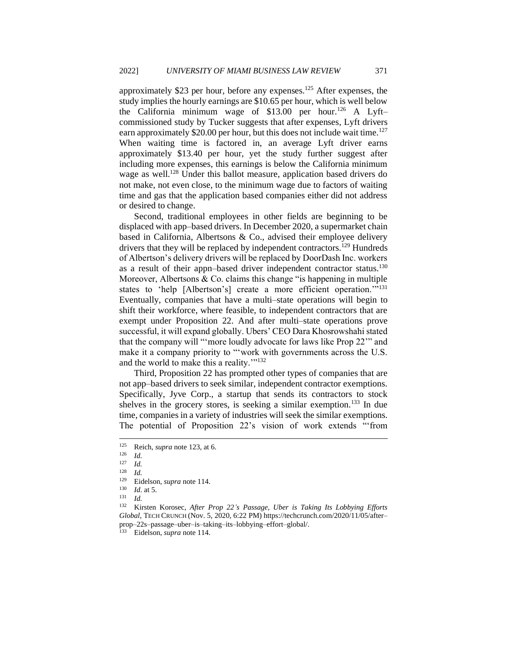approximately \$23 per hour, before any expenses.<sup>125</sup> After expenses, the study implies the hourly earnings are \$10.65 per hour, which is well below the California minimum wage of  $$13.00$  per hour.<sup>126</sup> A Lyft– commissioned study by Tucker suggests that after expenses, Lyft drivers earn approximately \$20.00 per hour, but this does not include wait time.<sup>127</sup> When waiting time is factored in, an average Lyft driver earns approximately \$13.40 per hour, yet the study further suggest after including more expenses, this earnings is below the California minimum wage as well.<sup>128</sup> Under this ballot measure, application based drivers do not make, not even close, to the minimum wage due to factors of waiting time and gas that the application based companies either did not address or desired to change.

Second, traditional employees in other fields are beginning to be displaced with app–based drivers. In December 2020, a supermarket chain based in California, Albertsons & Co., advised their employee delivery drivers that they will be replaced by independent contractors.<sup>129</sup> Hundreds of Albertson's delivery drivers will be replaced by DoorDash Inc. workers as a result of their appn–based driver independent contractor status.<sup>130</sup> Moreover, Albertsons  $& Co.$  claims this change "is happening in multiple states to 'help [Albertson's] create a more efficient operation."<sup>131</sup> Eventually, companies that have a multi–state operations will begin to shift their workforce, where feasible, to independent contractors that are exempt under Proposition 22. And after multi–state operations prove successful, it will expand globally. Ubers' CEO Dara Khosrowshahi stated that the company will "'more loudly advocate for laws like Prop 22'" and make it a company priority to "'work with governments across the U.S. and the world to make this a reality.""<sup>132</sup>

Third, Proposition 22 has prompted other types of companies that are not app–based drivers to seek similar, independent contractor exemptions. Specifically, Jyve Corp., a startup that sends its contractors to stock shelves in the grocery stores, is seeking a similar exemption.<sup>133</sup> In due time, companies in a variety of industries will seek the similar exemptions. The potential of Proposition 22's vision of work extends "'from

<sup>133</sup> Eidelson, *supra* note 114.

<sup>125</sup> Reich, *supra* note 123, at 6.

 $\frac{126}{127}$  *Id.* 

 $\frac{127}{128}$  *Id.* 

*Id.* 

<sup>&</sup>lt;sup>129</sup> Eidelson, *supra* note 114.<br><sup>130</sup> *Id* at 5

*Id.* at 5.

<sup>131</sup> *Id.*

<sup>132</sup> Kirsten Korosec, *After Prop 22's Passage, Uber is Taking Its Lobbying Efforts Global*, TECH CRUNCH (Nov. 5, 2020, 6:22 PM) https://techcrunch.com/2020/11/05/after– prop–22s–passage–uber–is–taking–its–lobbying–effort–global/.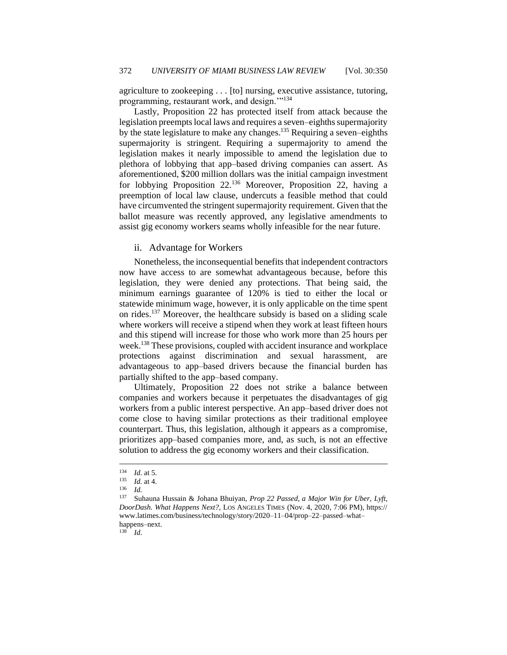agriculture to zookeeping . . . [to] nursing, executive assistance, tutoring, programming, restaurant work, and design."<sup>134</sup>

Lastly, Proposition 22 has protected itself from attack because the legislation preempts local laws and requires a seven–eighths supermajority by the state legislature to make any changes.<sup>135</sup> Requiring a seven–eighths supermajority is stringent. Requiring a supermajority to amend the legislation makes it nearly impossible to amend the legislation due to plethora of lobbying that app–based driving companies can assert. As aforementioned, \$200 million dollars was the initial campaign investment for lobbying Proposition 22.<sup>136</sup> Moreover, Proposition 22, having a preemption of local law clause, undercuts a feasible method that could have circumvented the stringent supermajority requirement. Given that the ballot measure was recently approved, any legislative amendments to assist gig economy workers seams wholly infeasible for the near future.

#### <span id="page-23-0"></span>ii. Advantage for Workers

Nonetheless, the inconsequential benefits that independent contractors now have access to are somewhat advantageous because, before this legislation, they were denied any protections. That being said, the minimum earnings guarantee of 120% is tied to either the local or statewide minimum wage, however, it is only applicable on the time spent on rides.<sup>137</sup> Moreover, the healthcare subsidy is based on a sliding scale where workers will receive a stipend when they work at least fifteen hours and this stipend will increase for those who work more than 25 hours per week.<sup>138</sup> These provisions, coupled with accident insurance and workplace protections against discrimination and sexual harassment, are advantageous to app–based drivers because the financial burden has partially shifted to the app–based company.

Ultimately, Proposition 22 does not strike a balance between companies and workers because it perpetuates the disadvantages of gig workers from a public interest perspective. An app–based driver does not come close to having similar protections as their traditional employee counterpart. Thus, this legislation, although it appears as a compromise, prioritizes app–based companies more, and, as such, is not an effective solution to address the gig economy workers and their classification.

 $138$  *Id.* 

 $\frac{134}{135}$  *Id.* at 5.

 $\frac{135}{136}$  *Id.* at 4.

 $\frac{136}{137}$  *Id.* 

Suhauna Hussain & Johana Bhuiyan, *Prop 22 Passed, a Major Win for Uber, Lyft, DoorDash. What Happens Next?*, LOS ANGELES TIMES (Nov. 4, 2020, 7:06 PM), https:// www.latimes.com/business/technology/story/2020–11–04/prop–22–passed–what– happens–next.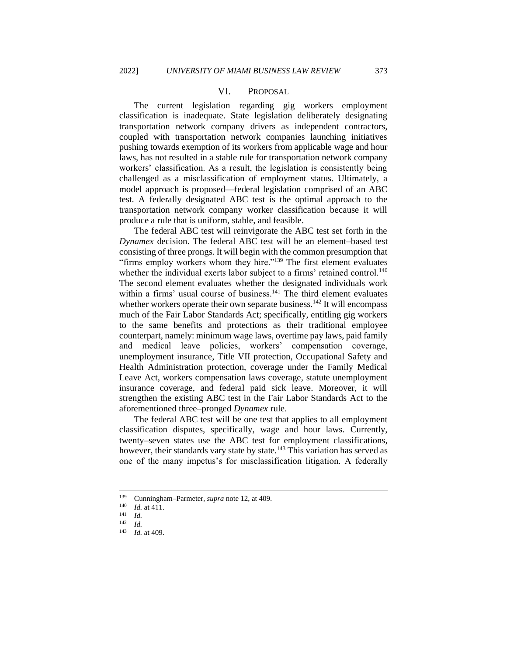#### VI. PROPOSAL

<span id="page-24-0"></span>The current legislation regarding gig workers employment classification is inadequate. State legislation deliberately designating transportation network company drivers as independent contractors, coupled with transportation network companies launching initiatives pushing towards exemption of its workers from applicable wage and hour laws, has not resulted in a stable rule for transportation network company workers' classification. As a result, the legislation is consistently being challenged as a misclassification of employment status. Ultimately, a model approach is proposed—federal legislation comprised of an ABC test. A federally designated ABC test is the optimal approach to the transportation network company worker classification because it will produce a rule that is uniform, stable, and feasible.

The federal ABC test will reinvigorate the ABC test set forth in the *Dynamex* decision. The federal ABC test will be an element–based test consisting of three prongs. It will begin with the common presumption that "firms employ workers whom they hire."<sup>139</sup> The first element evaluates whether the individual exerts labor subject to a firms' retained control.<sup>140</sup> The second element evaluates whether the designated individuals work within a firms' usual course of business.<sup>141</sup> The third element evaluates whether workers operate their own separate business.<sup>142</sup> It will encompass much of the Fair Labor Standards Act; specifically, entitling gig workers to the same benefits and protections as their traditional employee counterpart, namely: minimum wage laws, overtime pay laws, paid family and medical leave policies, workers' compensation coverage, unemployment insurance, Title VII protection, Occupational Safety and Health Administration protection, coverage under the Family Medical Leave Act, workers compensation laws coverage, statute unemployment insurance coverage, and federal paid sick leave. Moreover, it will strengthen the existing ABC test in the Fair Labor Standards Act to the aforementioned three–pronged *Dynamex* rule.

The federal ABC test will be one test that applies to all employment classification disputes, specifically, wage and hour laws. Currently, twenty–seven states use the ABC test for employment classifications, however, their standards vary state by state.<sup>143</sup> This variation has served as one of the many impetus's for misclassification litigation. A federally

<sup>&</sup>lt;sup>139</sup> Cunningham–Parmeter, *supra* note 12, at 409.

*Id.* at 411.

 $\frac{141}{142}$  *Id.* 

 $\frac{142}{143}$  *Id.* 

*Id.* at 409.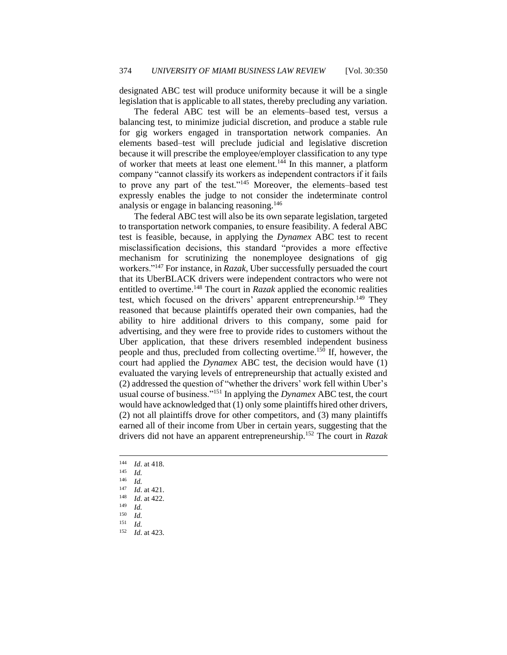designated ABC test will produce uniformity because it will be a single legislation that is applicable to all states, thereby precluding any variation.

The federal ABC test will be an elements–based test, versus a balancing test, to minimize judicial discretion, and produce a stable rule for gig workers engaged in transportation network companies. An elements based–test will preclude judicial and legislative discretion because it will prescribe the employee/employer classification to any type of worker that meets at least one element.<sup>144</sup> In this manner, a platform company "cannot classify its workers as independent contractors if it fails to prove any part of the test."<sup>145</sup> Moreover, the elements–based test expressly enables the judge to not consider the indeterminate control analysis or engage in balancing reasoning.<sup>146</sup>

The federal ABC test will also be its own separate legislation, targeted to transportation network companies, to ensure feasibility. A federal ABC test is feasible, because, in applying the *Dynamex* ABC test to recent misclassification decisions, this standard "provides a more effective mechanism for scrutinizing the nonemployee designations of gig workers."<sup>147</sup> For instance, in *Razak*, Uber successfully persuaded the court that its UberBLACK drivers were independent contractors who were not entitled to overtime.<sup>148</sup> The court in *Razak* applied the economic realities test, which focused on the drivers' apparent entrepreneurship.<sup>149</sup> They reasoned that because plaintiffs operated their own companies, had the ability to hire additional drivers to this company, some paid for advertising, and they were free to provide rides to customers without the Uber application, that these drivers resembled independent business people and thus, precluded from collecting overtime.<sup>150</sup> If, however, the court had applied the *Dynamex* ABC test, the decision would have (1) evaluated the varying levels of entrepreneurship that actually existed and (2) addressed the question of "whether the drivers' work fell within Uber's usual course of business."<sup>151</sup> In applying the *Dynamex* ABC test, the court would have acknowledged that (1) only some plaintiffs hired other drivers, (2) not all plaintiffs drove for other competitors, and (3) many plaintiffs earned all of their income from Uber in certain years, suggesting that the drivers did not have an apparent entrepreneurship.<sup>152</sup> The court in *Razak*

 $\frac{144}{145}$  *Id.* at 418.

 $\frac{145}{146}$  *Id.* 

 $\frac{146}{147}$  *Id.* 

 $\frac{147}{148}$  *Id.* at 421.

 $\frac{148}{149}$  *Id.* at 422. *Id.* 

 $\frac{150}{151}$  *Id.* 

 $\frac{151}{152}$  *Id. Id.* at 423.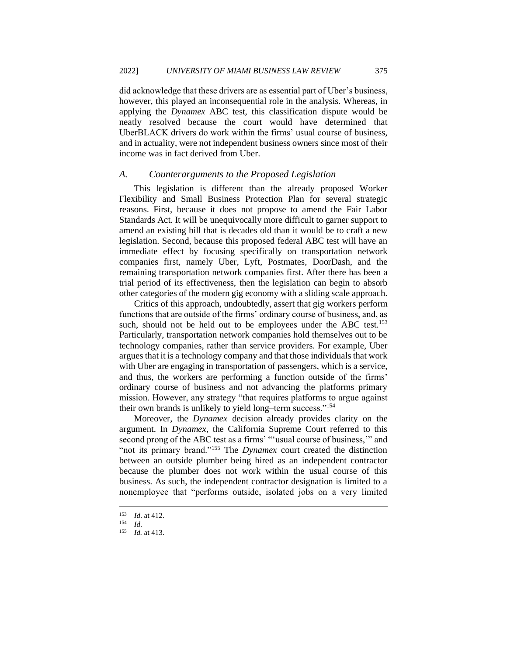did acknowledge that these drivers are as essential part of Uber's business, however, this played an inconsequential role in the analysis. Whereas, in applying the *Dynamex* ABC test, this classification dispute would be neatly resolved because the court would have determined that UberBLACK drivers do work within the firms' usual course of business, and in actuality, were not independent business owners since most of their income was in fact derived from Uber.

#### <span id="page-26-0"></span>*A. Counterarguments to the Proposed Legislation*

This legislation is different than the already proposed Worker Flexibility and Small Business Protection Plan for several strategic reasons. First, because it does not propose to amend the Fair Labor Standards Act. It will be unequivocally more difficult to garner support to amend an existing bill that is decades old than it would be to craft a new legislation. Second, because this proposed federal ABC test will have an immediate effect by focusing specifically on transportation network companies first, namely Uber, Lyft, Postmates, DoorDash, and the remaining transportation network companies first. After there has been a trial period of its effectiveness, then the legislation can begin to absorb other categories of the modern gig economy with a sliding scale approach.

Critics of this approach, undoubtedly, assert that gig workers perform functions that are outside of the firms' ordinary course of business, and, as such, should not be held out to be employees under the ABC test.<sup>153</sup> Particularly, transportation network companies hold themselves out to be technology companies, rather than service providers. For example, Uber argues that it is a technology company and that those individuals that work with Uber are engaging in transportation of passengers, which is a service, and thus, the workers are performing a function outside of the firms' ordinary course of business and not advancing the platforms primary mission. However, any strategy "that requires platforms to argue against their own brands is unlikely to yield long–term success."<sup>154</sup>

Moreover, the *Dynamex* decision already provides clarity on the argument. In *Dynamex*, the California Supreme Court referred to this second prong of the ABC test as a firms' "'usual course of business,'" and "not its primary brand."<sup>155</sup> The *Dynamex* court created the distinction between an outside plumber being hired as an independent contractor because the plumber does not work within the usual course of this business. As such, the independent contractor designation is limited to a nonemployee that "performs outside, isolated jobs on a very limited

 $\frac{153}{154}$  *Id.* at 412.

 $\frac{154}{155}$  *Id.* 

*Id.* at 413.